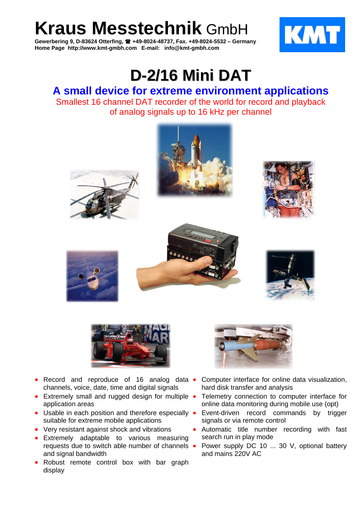**Kraus Messtechnik** GmbH

**Gewerbering 9, D-83624 Otterfing, +49-8024-48737, Fax. +49-8024-5532 – Germany Home Page http://www.kmt-gmbh.com E-mail: info@kmt-gmbh.com**



## **D-2/16 Mini DAT**

## **A small device for extreme environment applications**  Smallest 16 channel DAT recorder of the world for record and playback of analog signals up to 16 kHz per channel















- Record and reproduce of 16 analog data channels, voice, date, time and digital signals
- Extremely small and rugged design for multiple application areas
- Usable in each position and therefore especially suitable for extreme mobile applications
- Very resistant against shock and vibrations
- Extremely adaptable to various measuring requests due to switch able number of channels and signal bandwidth
- Robust remote control box with bar graph display



- Computer interface for online data visualization, hard disk transfer and analysis
- Telemetry connection to computer interface for online data monitoring during mobile use (opt)
- Event-driven record commands by trigger signals or via remote control
- Automatic title number recording with fast search run in play mode
- Power supply DC 10 ... 30 V, optional battery and mains 220V AC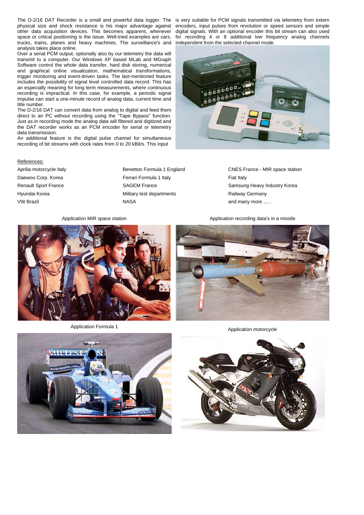The D-2/16 DAT Recorder is a small and powerful data logger. The physical size and shock resistance is his major advantage against other data acquisition devices. This becomes apparent, whenever space or critical positioning is the issue. Well-tried examples are cars, trucks, trains, planes and heavy machines. The surveillance's and analysis takes place online.

Over a serial PCM output, optionally also by our telemetry the data will transmit to a computer. Our Windows XP based MLab and MGraph Software control the whole data transfer, hard disk storing, numerical and graphical online visualization, mathematical transformations, trigger monitoring and event-driven tasks. The last-mentioned feature includes the possibility of signal level controlled data record. This has an especially meaning for long term measurements, where continuous recording is impractical. In this case, for example, a periodic signal impulse can start a one-minute record of analog data, current time and title number.

The D-2/16 DAT can convert data from analog to digital and feed them direct to an PC without recording using the "Tape Bypass" function. Just as in recording mode the analog data will filtered and digitized and the DAT recorder works as an PCM encoder for serial or telemetry data transmission.

An additional feature is the digital pulse channel for simultaneous recording of bit streams with clock rates from 0 to 20 kBit/s. This input

## References:

Aprilia motorcycle Italy **Benetton Formula 1 England** CNES France - MIR space station Daewoo Corp. Korea **Ferrari Formula 1 Italy** Fiat Italy **Fiat Italy** Fiat Italy Renault Sport France **SAGEM France** SAGEM France Samsung Heavy Industry Korea Hyundai Korea **Military test departments** Railway Germany Research Controller Research VW Brazil **And MASA** and many more .... . **NASA** and many more .... .

is very suitable for PCM signals transmitted via telemetry from extern encoders, input pulses from revolution or speed sensors and simple digital signals. With an optional encoder this bit stream can also used for recording 4 or 8 additional low frequency analog channels independent from the selected channel mode.









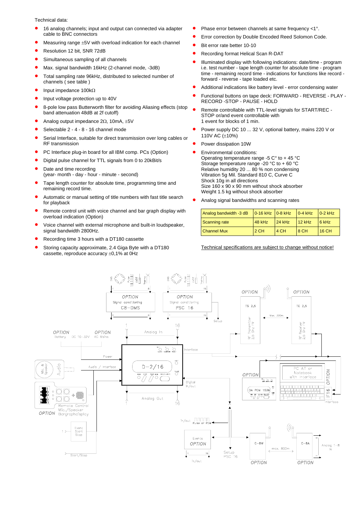Technical data:

- 16 analog channels; input and output can connected via adapter cable to BNC connectors
- Measuring range  $\pm 5V$  with overload indication for each channel
- Resolution 12 bit, SNR 72dB
- Simultaneous sampling of all channels
- Max. signal bandwidth 16kHz (2-channel mode, -3dB)
- Total sampling rate 96kHz, distributed to selected number of channels ( see table )
- Input impedance 100k<sup>Ω</sup>
- Input voltage protection up to 40V
- 8-pole low pass Butterworth filter for avoiding Aliasing effects (stop band attenuation 48dB at 2f cutoff)
- Analog output impedance 2Ω, 10mA, ±5V
- Selectable 2 4 8 16 channel mode
- Serial Interface, suitable for direct transmission over long cables or RF transmission
- PC Interface plug-in board for all IBM comp. PCs (Option)
- Digital pulse channel for TTL signals from 0 to 20kBit/s
- Date and time recording (year- month - day - hour - minute - second)
- Tape length counter for absolute time, programming time and remaining record time.
- Automatic or manual setting of title numbers with fast title search for playback
- Remote control unit with voice channel and bar graph display with overload indication (Option)
- Voice channel with external microphone and built-in loudspeaker, signal bandwidth 2800Hz.
- Recording time 3 hours with a DT180 cassette
- Storing capacity approximate, 2.4 Giga Byte with a DT180 cassette, reproduce accuracy ±0,1% at 0Hz
- Phase error between channels at same frequency <1°.
- Error correction by Double Encoded Reed Solomon Code.
- Bit error rate better 10-10
- Recording format Helical Scan R-DAT
- Illuminated display with following indications: date/time program i.e. test number - tape length counter for absolute time - program time - remaining record time - indications for functions like record forward - reverse - tape loaded etc.
- Additional indications like battery level error condensing water
- Functional buttons on tape deck: FORWARD REVERSE PLAY RECORD -STOP - PAUSE - HOLD
- Remote controllable with TTL-level signals for START/REC STOP or/and event controllable with 1 event for blocks of 1 min.
- Power supply DC 10 ... 32 V, optional battery, mains 220 V or 110V AC (±10%)
- Power dissipation 10W
	- Environmental conditions: Operating temperature range -5  $C^{\circ}$  to + 45  $^{\circ}$ C Storage temperature range -20  $^{\circ}$ C to + 60  $^{\circ}$ C Relative humidity 20 ... 80 % non condensing Vibration 5g Mil. Standard 810 C, Curve C Shock 10g in all directions Size  $160 \times 90 \times 90$  mm without shock absorber Weight 1.5 kg without shock absorber
- Analog signal bandwidths and scanning rates

| Analog bandwidth -3 dB | $\sqrt{0.16 \text{ kHz}}$ 0-8 kHz |        | $0-4$ kHz | $0-2$ kHz |
|------------------------|-----------------------------------|--------|-----------|-----------|
| Scanning rate          | <b>48 kHz</b>                     | 24 kHz | 12 kHz    | $6$ kHz   |
| <b>Channel Mux</b>     | 2 CH                              | 4 CH   | 8 CH      | 16 CH     |

Technical specifications are subject to change without notice!